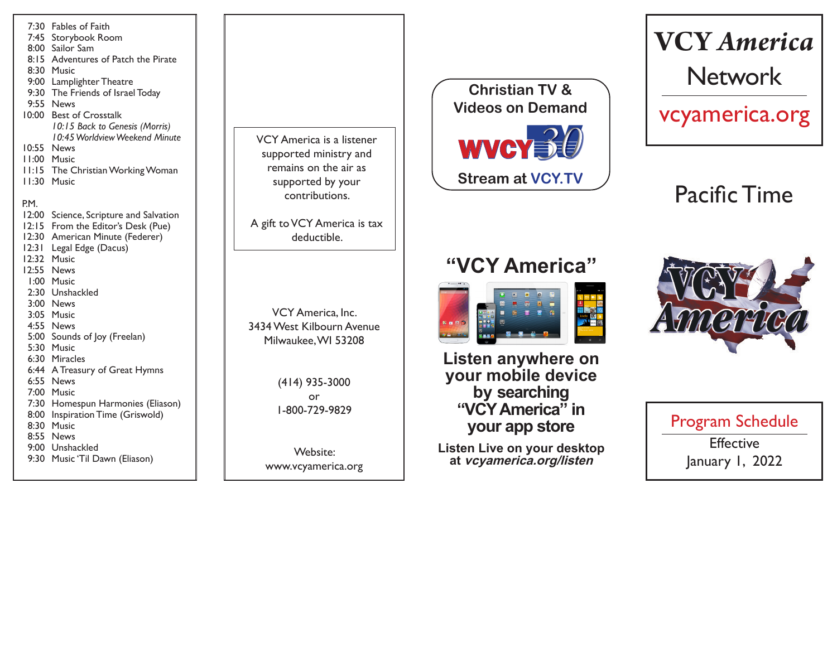

VCY America is a listener supported ministry and remains on the air as supported by your contributions.

A gift to VCY America is tax deductible.

VCY America, Inc. 3434 West Kilbourn Avenue Milwaukee, WI 53208

> (414) 935-3000 or 1-800-729-9829

Website: www.vcyamerica.org



# **VCY** *America* Network

vcyamerica.org

Pacific Time

## **"VCY America"**



**Listen anywhere on your mobile device by searching "VCY America" in your app store**

**Listen Live on your desktop at vcyamerica.org/listen**



Program Schedule **Effective** January 1, 2022